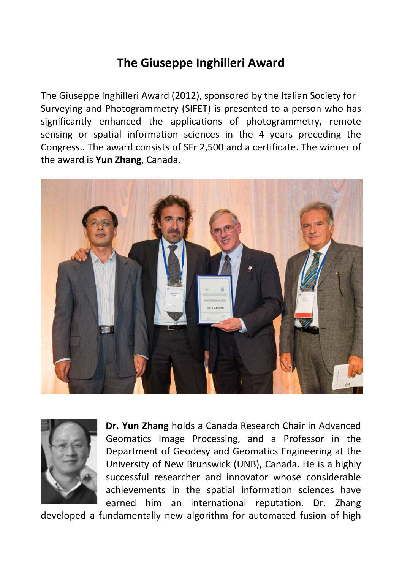## **The Giuseppe Inghilleri Award**

The Giuseppe Inghilleri Award (2012), sponsored by the Italian Society for Surveying and Photogrammetry (SIFET) is presented to a person who has significantly enhanced the applications of photogrammetry, remote sensing or spatial information sciences in the 4 years preceding the Congress.. The award consists of SFr 2,500 and a certificate. The winner of the award is **Yun Zhang**, Canada.





**Dr. Yun Zhang** holds a Canada Research Chair in Advanced Geomatics Image Processing, and a Professor in the Department of Geodesy and Geomatics Engineering at the University of New Brunswick (UNB), Canada. He is a highly successful researcher and innovator whose considerable achievements in the spatial information sciences have earned him an international reputation. Dr. Zhang

developed a fundamentally new algorithm for automated fusion of high